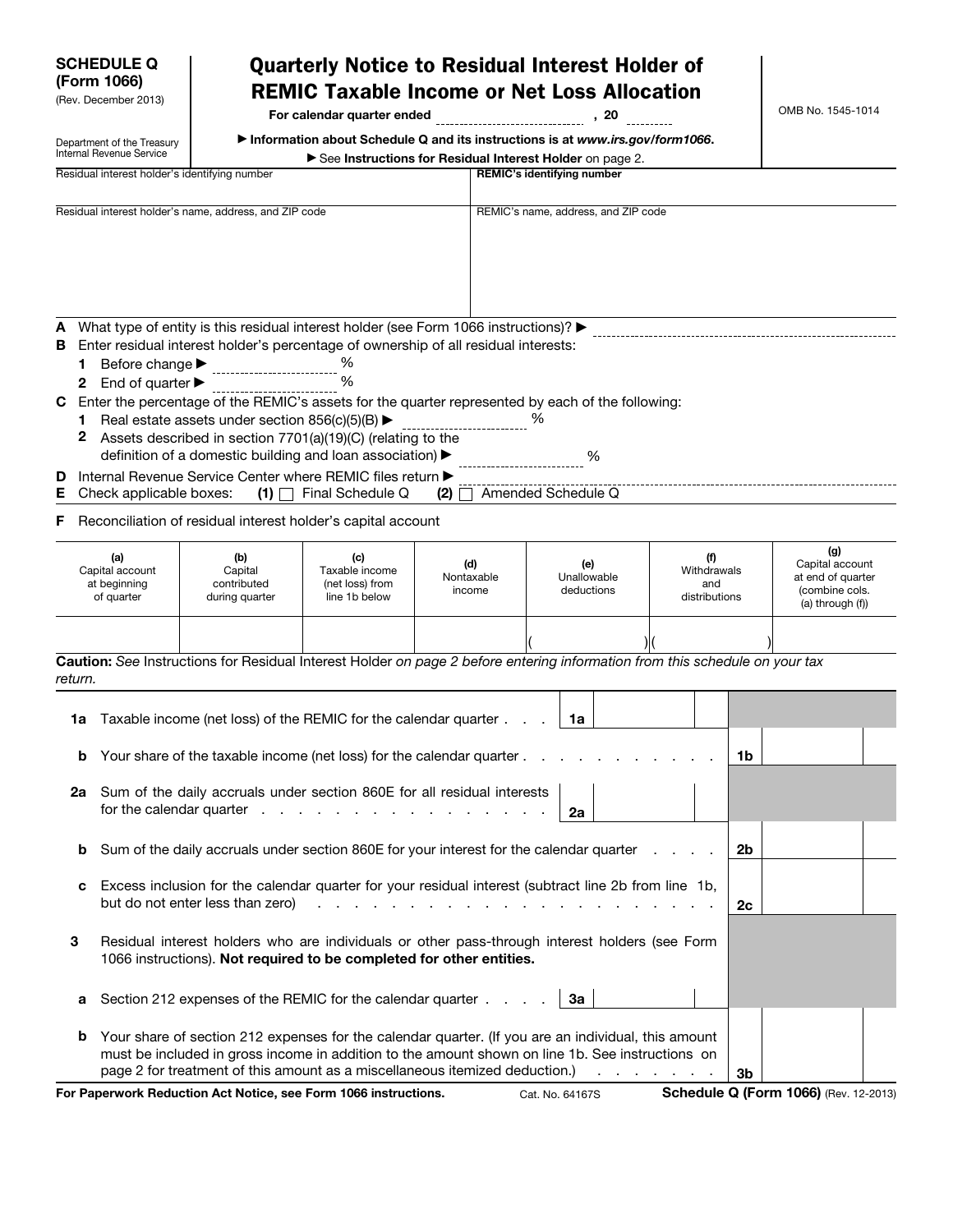| <b>SCHEDULE Q</b><br>(Form 1066)<br>(Rev. December 2013) |                                                                                                                                                                        | <b>Quarterly Notice to Residual Interest Holder of</b><br><b>REMIC Taxable Income or Net Loss Allocation</b><br>For calendar quarter ended                                                                                                                                                                                                                                                                                                                                                   |                                                           |                                                                                                                                           |                                   |    |                                     |                                            |  |    | OMB No. 1545-1014                                                                    |  |
|----------------------------------------------------------|------------------------------------------------------------------------------------------------------------------------------------------------------------------------|----------------------------------------------------------------------------------------------------------------------------------------------------------------------------------------------------------------------------------------------------------------------------------------------------------------------------------------------------------------------------------------------------------------------------------------------------------------------------------------------|-----------------------------------------------------------|-------------------------------------------------------------------------------------------------------------------------------------------|-----------------------------------|----|-------------------------------------|--------------------------------------------|--|----|--------------------------------------------------------------------------------------|--|
|                                                          | Department of the Treasury<br>Internal Revenue Service                                                                                                                 |                                                                                                                                                                                                                                                                                                                                                                                                                                                                                              |                                                           | Information about Schedule Q and its instructions is at www.irs.gov/form1066.<br>See Instructions for Residual Interest Holder on page 2. |                                   |    |                                     |                                            |  |    |                                                                                      |  |
|                                                          |                                                                                                                                                                        | Residual interest holder's identifying number                                                                                                                                                                                                                                                                                                                                                                                                                                                |                                                           |                                                                                                                                           | <b>REMIC's identifying number</b> |    |                                     |                                            |  |    |                                                                                      |  |
|                                                          |                                                                                                                                                                        | Residual interest holder's name, address, and ZIP code                                                                                                                                                                                                                                                                                                                                                                                                                                       |                                                           |                                                                                                                                           |                                   |    | REMIC's name, address, and ZIP code |                                            |  |    |                                                                                      |  |
|                                                          |                                                                                                                                                                        |                                                                                                                                                                                                                                                                                                                                                                                                                                                                                              |                                                           |                                                                                                                                           |                                   |    |                                     |                                            |  |    |                                                                                      |  |
| Α<br>в<br>1.<br>С<br>2                                   | Before change ▶<br>2 End of quarter $\blacktriangleright$                                                                                                              | What type of entity is this residual interest holder (see Form 1066 instructions)? ▶<br>Enter residual interest holder's percentage of ownership of all residual interests:<br>--------------------------<br>Enter the percentage of the REMIC's assets for the quarter represented by each of the following:<br>Real estate assets under section $856(c)(5)(B)$<br>Assets described in section 7701(a)(19)(C) (relating to the<br>definition of a domestic building and loan association) > | ℅<br>%                                                    |                                                                                                                                           |                                   |    | ℅                                   |                                            |  |    |                                                                                      |  |
| D                                                        |                                                                                                                                                                        | Internal Revenue Service Center where REMIC files return ▶                                                                                                                                                                                                                                                                                                                                                                                                                                   |                                                           |                                                                                                                                           |                                   |    |                                     |                                            |  |    |                                                                                      |  |
| Е                                                        | Check applicable boxes:                                                                                                                                                | (1)                                                                                                                                                                                                                                                                                                                                                                                                                                                                                          | Final Schedule Q                                          | (2)                                                                                                                                       | Amended Schedule Q                |    |                                     |                                            |  |    |                                                                                      |  |
| F                                                        |                                                                                                                                                                        | Reconciliation of residual interest holder's capital account                                                                                                                                                                                                                                                                                                                                                                                                                                 |                                                           |                                                                                                                                           |                                   |    |                                     |                                            |  |    |                                                                                      |  |
| (a)<br>Capital account<br>at beginning<br>of quarter     |                                                                                                                                                                        | (b)<br>Capital<br>contributed<br>during quarter                                                                                                                                                                                                                                                                                                                                                                                                                                              | (c)<br>Taxable income<br>(net loss) from<br>line 1b below | (d)<br>Nontaxable<br>income                                                                                                               | (e)<br>Unallowable<br>deductions  |    |                                     | (f)<br>Withdrawals<br>and<br>distributions |  |    | (g)<br>Capital account<br>at end of quarter<br>(combine cols.<br>$(a)$ through $(f)$ |  |
|                                                          |                                                                                                                                                                        |                                                                                                                                                                                                                                                                                                                                                                                                                                                                                              |                                                           |                                                                                                                                           |                                   |    |                                     |                                            |  |    |                                                                                      |  |
|                                                          |                                                                                                                                                                        | Caution: See Instructions for Residual Interest Holder on page 2 before entering information from this schedule on your tax                                                                                                                                                                                                                                                                                                                                                                  |                                                           |                                                                                                                                           |                                   |    |                                     |                                            |  |    |                                                                                      |  |
| return.                                                  |                                                                                                                                                                        |                                                                                                                                                                                                                                                                                                                                                                                                                                                                                              |                                                           |                                                                                                                                           |                                   |    |                                     |                                            |  |    |                                                                                      |  |
| 1a                                                       |                                                                                                                                                                        | Taxable income (net loss) of the REMIC for the calendar quarter                                                                                                                                                                                                                                                                                                                                                                                                                              |                                                           |                                                                                                                                           |                                   | 1a |                                     |                                            |  |    |                                                                                      |  |
|                                                          |                                                                                                                                                                        |                                                                                                                                                                                                                                                                                                                                                                                                                                                                                              |                                                           |                                                                                                                                           |                                   |    |                                     |                                            |  |    |                                                                                      |  |
| b                                                        |                                                                                                                                                                        | Your share of the taxable income (net loss) for the calendar quarter                                                                                                                                                                                                                                                                                                                                                                                                                         |                                                           |                                                                                                                                           |                                   |    |                                     |                                            |  | 1b |                                                                                      |  |
| 2a                                                       |                                                                                                                                                                        | Sum of the daily accruals under section 860E for all residual interests                                                                                                                                                                                                                                                                                                                                                                                                                      |                                                           |                                                                                                                                           |                                   |    |                                     |                                            |  |    |                                                                                      |  |
|                                                          |                                                                                                                                                                        | for the calendar quarter $\ldots$ $\ldots$ $\ldots$ $\ldots$ $\ldots$                                                                                                                                                                                                                                                                                                                                                                                                                        |                                                           |                                                                                                                                           |                                   | 2a |                                     |                                            |  |    |                                                                                      |  |
| b                                                        |                                                                                                                                                                        | Sum of the daily accruals under section 860E for your interest for the calendar quarter                                                                                                                                                                                                                                                                                                                                                                                                      |                                                           |                                                                                                                                           |                                   |    |                                     |                                            |  | 2b |                                                                                      |  |
| с                                                        | Excess inclusion for the calendar quarter for your residual interest (subtract line 2b from line 1b,<br>but do not enter less than zero)<br>2c                         |                                                                                                                                                                                                                                                                                                                                                                                                                                                                                              |                                                           |                                                                                                                                           |                                   |    |                                     |                                            |  |    |                                                                                      |  |
| 3                                                        | Residual interest holders who are individuals or other pass-through interest holders (see Form<br>1066 instructions). Not required to be completed for other entities. |                                                                                                                                                                                                                                                                                                                                                                                                                                                                                              |                                                           |                                                                                                                                           |                                   |    |                                     |                                            |  |    |                                                                                      |  |
| а                                                        |                                                                                                                                                                        | Section 212 expenses of the REMIC for the calendar quarter                                                                                                                                                                                                                                                                                                                                                                                                                                   |                                                           |                                                                                                                                           |                                   | За |                                     |                                            |  |    |                                                                                      |  |
| b                                                        |                                                                                                                                                                        | Your share of section 212 expenses for the calendar quarter. (If you are an individual, this amount<br>must be included in gross income in addition to the amount shown on line 1b. See instructions on<br>page 2 for treatment of this amount as a miscellaneous itemized deduction.)                                                                                                                                                                                                       |                                                           |                                                                                                                                           |                                   |    | the contract of the contract of     |                                            |  | 3b |                                                                                      |  |

For Paperwork Reduction Act Notice, see Form 1066 instructions. Cat. No. 64167S Schedule Q (Form 1066) (Rev. 12-2013)